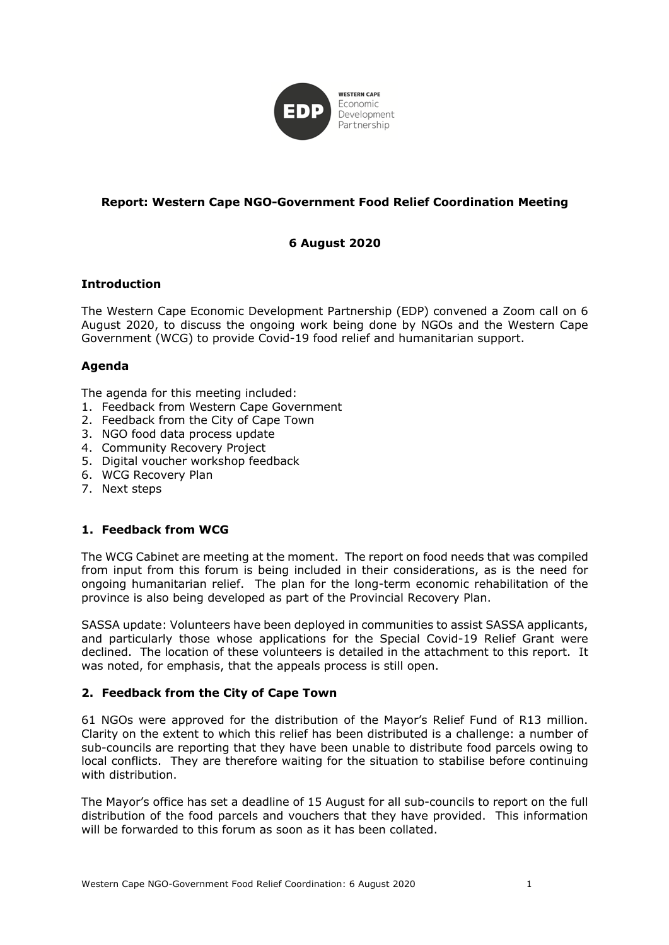

## **Report: Western Cape NGO-Government Food Relief Coordination Meeting**

# **6 August 2020**

### **Introduction**

The Western Cape Economic Development Partnership (EDP) convened a Zoom call on 6 August 2020, to discuss the ongoing work being done by NGOs and the Western Cape Government (WCG) to provide Covid-19 food relief and humanitarian support.

## **Agenda**

The agenda for this meeting included:

- 1. Feedback from Western Cape Government
- 2. Feedback from the City of Cape Town
- 3. NGO food data process update
- 4. Community Recovery Project
- 5. Digital voucher workshop feedback
- 6. WCG Recovery Plan
- 7. Next steps

### **1. Feedback from WCG**

The WCG Cabinet are meeting at the moment. The report on food needs that was compiled from input from this forum is being included in their considerations, as is the need for ongoing humanitarian relief. The plan for the long-term economic rehabilitation of the province is also being developed as part of the Provincial Recovery Plan.

SASSA update: Volunteers have been deployed in communities to assist SASSA applicants, and particularly those whose applications for the Special Covid-19 Relief Grant were declined. The location of these volunteers is detailed in the attachment to this report. It was noted, for emphasis, that the appeals process is still open.

### **2. Feedback from the City of Cape Town**

61 NGOs were approved for the distribution of the Mayor's Relief Fund of R13 million. Clarity on the extent to which this relief has been distributed is a challenge: a number of sub-councils are reporting that they have been unable to distribute food parcels owing to local conflicts. They are therefore waiting for the situation to stabilise before continuing with distribution.

The Mayor's office has set a deadline of 15 August for all sub-councils to report on the full distribution of the food parcels and vouchers that they have provided. This information will be forwarded to this forum as soon as it has been collated.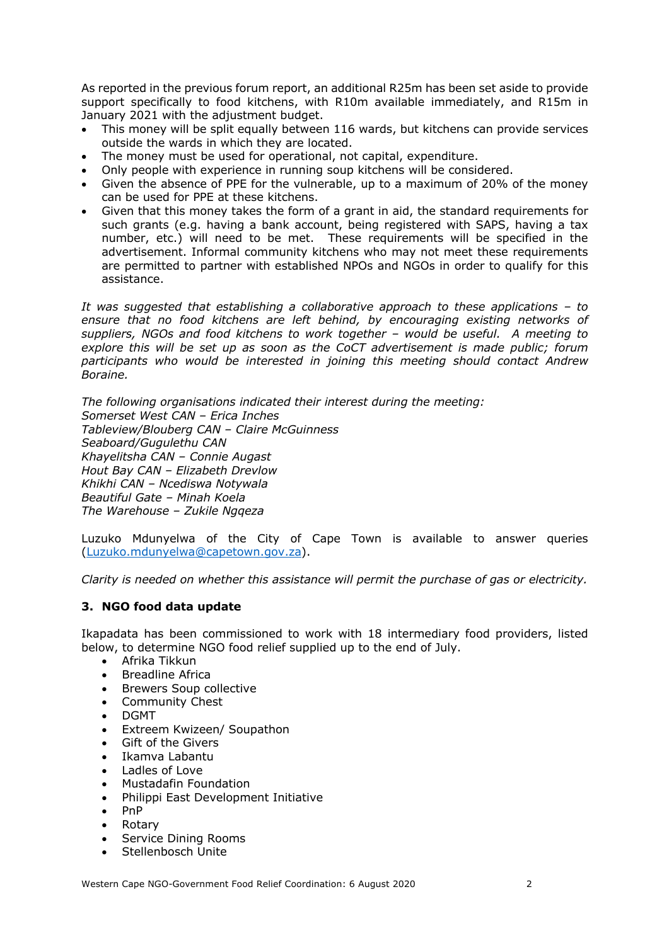As reported in the previous forum report, an additional R25m has been set aside to provide support specifically to food kitchens, with R10m available immediately, and R15m in January 2021 with the adjustment budget.

- This money will be split equally between 116 wards, but kitchens can provide services outside the wards in which they are located.
- The money must be used for operational, not capital, expenditure.
- Only people with experience in running soup kitchens will be considered.
- Given the absence of PPE for the vulnerable, up to a maximum of 20% of the money can be used for PPE at these kitchens.
- Given that this money takes the form of a grant in aid, the standard requirements for such grants (e.g. having a bank account, being registered with SAPS, having a tax number, etc.) will need to be met. These requirements will be specified in the advertisement. Informal community kitchens who may not meet these requirements are permitted to partner with established NPOs and NGOs in order to qualify for this assistance.

*It was suggested that establishing a collaborative approach to these applications – to ensure that no food kitchens are left behind, by encouraging existing networks of suppliers, NGOs and food kitchens to work together – would be useful. A meeting to explore this will be set up as soon as the CoCT advertisement is made public; forum participants who would be interested in joining this meeting should contact Andrew Boraine.* 

*The following organisations indicated their interest during the meeting: Somerset West CAN – Erica Inches Tableview/Blouberg CAN – Claire McGuinness Seaboard/Gugulethu CAN Khayelitsha CAN – Connie Augast Hout Bay CAN – Elizabeth Drevlow Khikhi CAN – Ncediswa Notywala Beautiful Gate – Minah Koela The Warehouse – Zukile Ngqeza*

Luzuko Mdunyelwa of the City of Cape Town is available to answer queries (Luzuko.mdunyelwa@capetown.gov.za).

*Clarity is needed on whether this assistance will permit the purchase of gas or electricity.*

## **3. NGO food data update**

Ikapadata has been commissioned to work with 18 intermediary food providers, listed below, to determine NGO food relief supplied up to the end of July.

- Afrika Tikkun
- Breadline Africa
- Brewers Soup collective
- Community Chest
- DGMT
- Extreem Kwizeen/ Soupathon
- Gift of the Givers
- Ikamva Labantu
- Ladles of Love
- Mustadafin Foundation
- Philippi East Development Initiative
- PnP
- Rotary
- Service Dining Rooms
- Stellenbosch Unite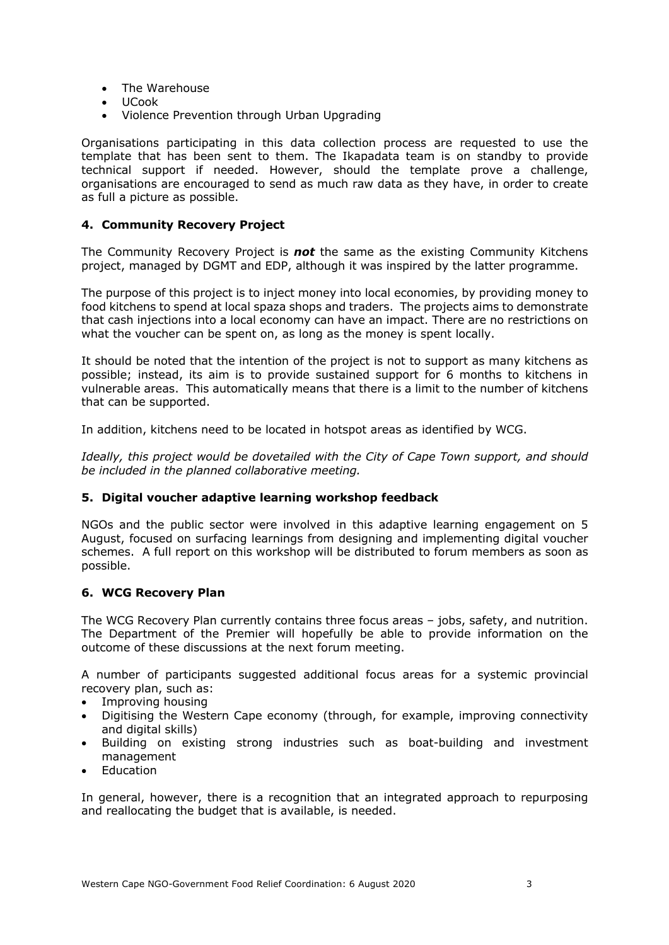- The Warehouse
- UCook
- Violence Prevention through Urban Upgrading

Organisations participating in this data collection process are requested to use the template that has been sent to them. The Ikapadata team is on standby to provide technical support if needed. However, should the template prove a challenge, organisations are encouraged to send as much raw data as they have, in order to create as full a picture as possible.

### **4. Community Recovery Project**

The Community Recovery Project is *not* the same as the existing Community Kitchens project, managed by DGMT and EDP, although it was inspired by the latter programme.

The purpose of this project is to inject money into local economies, by providing money to food kitchens to spend at local spaza shops and traders. The projects aims to demonstrate that cash injections into a local economy can have an impact. There are no restrictions on what the voucher can be spent on, as long as the money is spent locally.

It should be noted that the intention of the project is not to support as many kitchens as possible; instead, its aim is to provide sustained support for 6 months to kitchens in vulnerable areas. This automatically means that there is a limit to the number of kitchens that can be supported.

In addition, kitchens need to be located in hotspot areas as identified by WCG.

*Ideally, this project would be dovetailed with the City of Cape Town support, and should be included in the planned collaborative meeting.* 

### **5. Digital voucher adaptive learning workshop feedback**

NGOs and the public sector were involved in this adaptive learning engagement on 5 August, focused on surfacing learnings from designing and implementing digital voucher schemes. A full report on this workshop will be distributed to forum members as soon as possible.

### **6. WCG Recovery Plan**

The WCG Recovery Plan currently contains three focus areas – jobs, safety, and nutrition. The Department of the Premier will hopefully be able to provide information on the outcome of these discussions at the next forum meeting.

A number of participants suggested additional focus areas for a systemic provincial recovery plan, such as:

- Improving housing
- Digitising the Western Cape economy (through, for example, improving connectivity and digital skills)
- Building on existing strong industries such as boat-building and investment management
- Education

In general, however, there is a recognition that an integrated approach to repurposing and reallocating the budget that is available, is needed.